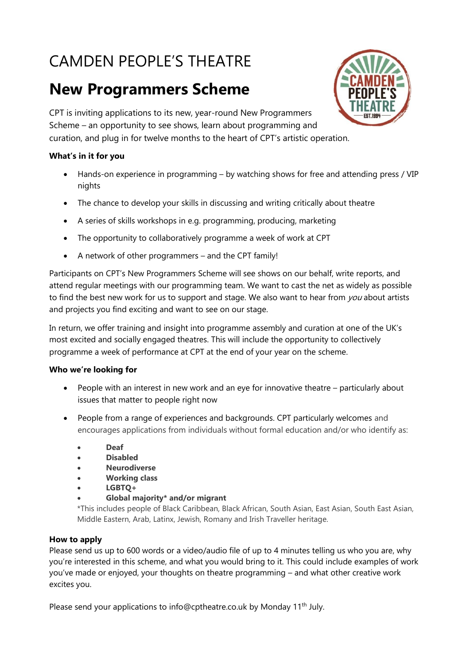# CAMDEN PEOPLE'S THEATRE

## **New Programmers Scheme**



CPT is inviting applications to its new, year-round New Programmers Scheme – an opportunity to see shows, learn about programming and curation, and plug in for twelve months to the heart of CPT's artistic operation.

#### **What's in it for you**

- Hands-on experience in programming by watching shows for free and attending press / VIP nights
- The chance to develop your skills in discussing and writing critically about theatre
- A series of skills workshops in e.g. programming, producing, marketing
- The opportunity to collaboratively programme a week of work at CPT
- A network of other programmers and the CPT family!

Participants on CPT's New Programmers Scheme will see shows on our behalf, write reports, and attend regular meetings with our programming team. We want to cast the net as widely as possible to find the best new work for us to support and stage. We also want to hear from you about artists and projects you find exciting and want to see on our stage.

In return, we offer training and insight into programme assembly and curation at one of the UK's most excited and socially engaged theatres. This will include the opportunity to collectively programme a week of performance at CPT at the end of your year on the scheme.

#### **Who we're looking for**

- People with an interest in new work and an eye for innovative theatre particularly about issues that matter to people right now
- People from a range of experiences and backgrounds. CPT particularly welcomes and encourages applications from individuals without formal education and/or who identify as:
	- **Deaf**
	- **Disabled**
	- **Neurodiverse**
	- **Working class**
	- **LGBTQ+**
	- **Global majority\* and/or migrant**

\*This includes people of Black Caribbean, Black African, South Asian, East Asian, South East Asian, Middle Eastern, Arab, Latinx, Jewish, Romany and Irish Traveller heritage.

#### **How to apply**

Please send us up to 600 words or a video/audio file of up to 4 minutes telling us who you are, why you're interested in this scheme, and what you would bring to it. This could include examples of work you've made or enjoyed, your thoughts on theatre programming – and what other creative work excites you.

Please send your applications to info@cptheatre.co.uk by Monday 11<sup>th</sup> July.